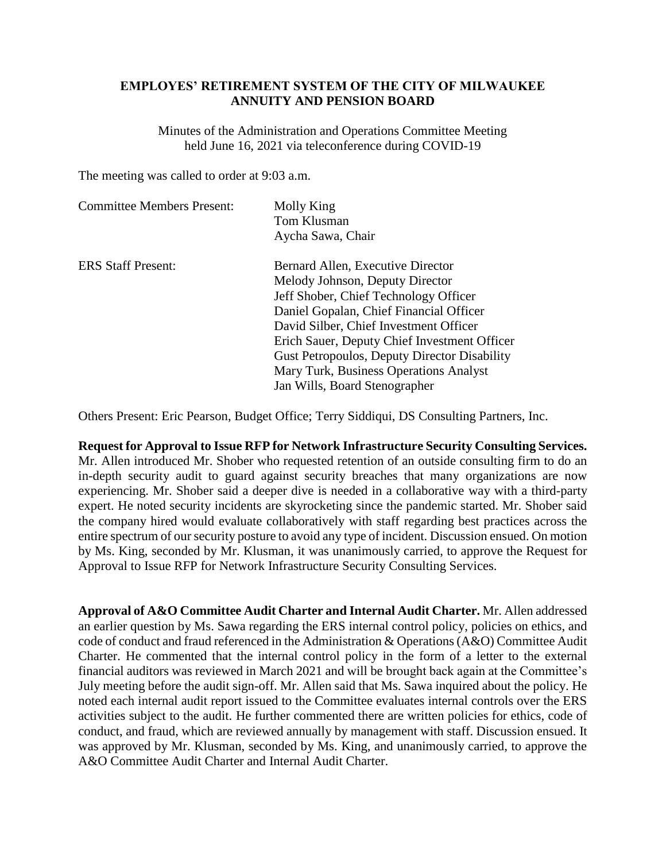## **EMPLOYES' RETIREMENT SYSTEM OF THE CITY OF MILWAUKEE ANNUITY AND PENSION BOARD**

Minutes of the Administration and Operations Committee Meeting held June 16, 2021 via teleconference during COVID-19

The meeting was called to order at 9:03 a.m.

| <b>Committee Members Present:</b> | Molly King<br>Tom Klusman<br>Aycha Sawa, Chair      |
|-----------------------------------|-----------------------------------------------------|
| <b>ERS</b> Staff Present:         | Bernard Allen, Executive Director                   |
|                                   | Melody Johnson, Deputy Director                     |
|                                   | Jeff Shober, Chief Technology Officer               |
|                                   | Daniel Gopalan, Chief Financial Officer             |
|                                   | David Silber, Chief Investment Officer              |
|                                   | Erich Sauer, Deputy Chief Investment Officer        |
|                                   | <b>Gust Petropoulos, Deputy Director Disability</b> |
|                                   | Mary Turk, Business Operations Analyst              |
|                                   | Jan Wills, Board Stenographer                       |

Others Present: Eric Pearson, Budget Office; Terry Siddiqui, DS Consulting Partners, Inc.

**Request for Approval to Issue RFP for Network Infrastructure Security Consulting Services.**  Mr. Allen introduced Mr. Shober who requested retention of an outside consulting firm to do an in-depth security audit to guard against security breaches that many organizations are now experiencing. Mr. Shober said a deeper dive is needed in a collaborative way with a third-party expert. He noted security incidents are skyrocketing since the pandemic started. Mr. Shober said the company hired would evaluate collaboratively with staff regarding best practices across the entire spectrum of our security posture to avoid any type of incident. Discussion ensued. On motion by Ms. King, seconded by Mr. Klusman, it was unanimously carried, to approve the Request for Approval to Issue RFP for Network Infrastructure Security Consulting Services.

**Approval of A&O Committee Audit Charter and Internal Audit Charter.** Mr. Allen addressed an earlier question by Ms. Sawa regarding the ERS internal control policy, policies on ethics, and code of conduct and fraud referenced in the Administration & Operations (A&O) Committee Audit Charter. He commented that the internal control policy in the form of a letter to the external financial auditors was reviewed in March 2021 and will be brought back again at the Committee's July meeting before the audit sign-off. Mr. Allen said that Ms. Sawa inquired about the policy. He noted each internal audit report issued to the Committee evaluates internal controls over the ERS activities subject to the audit. He further commented there are written policies for ethics, code of conduct, and fraud, which are reviewed annually by management with staff. Discussion ensued. It was approved by Mr. Klusman, seconded by Ms. King, and unanimously carried, to approve the A&O Committee Audit Charter and Internal Audit Charter.